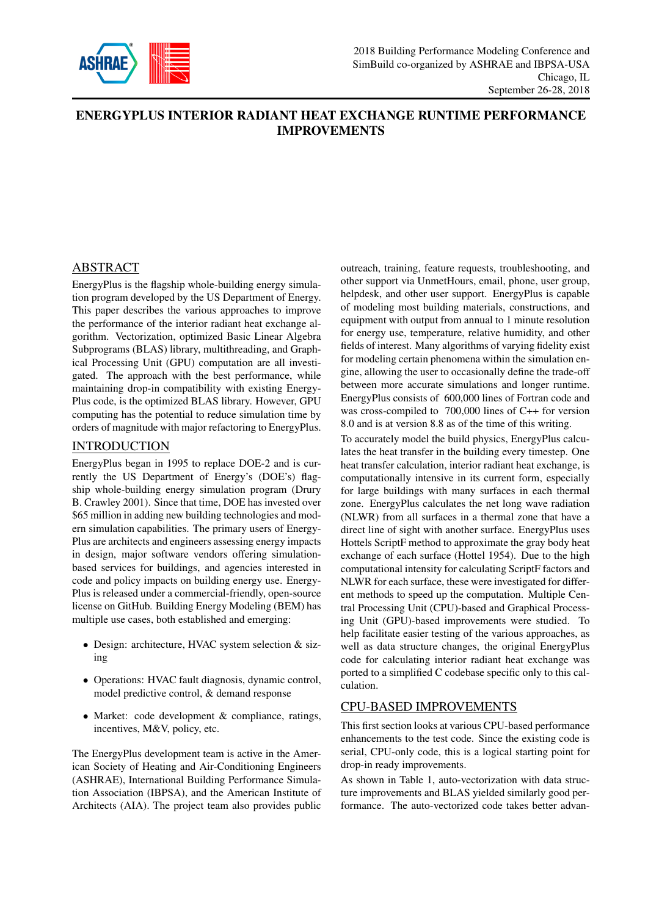

# ENERGYPLUS INTERIOR RADIANT HEAT EXCHANGE RUNTIME PERFORMANCE IMPROVEMENTS

# ABSTRACT

EnergyPlus is the flagship whole-building energy simulation program developed by the US Department of Energy. This paper describes the various approaches to improve the performance of the interior radiant heat exchange algorithm. Vectorization, optimized Basic Linear Algebra Subprograms (BLAS) library, multithreading, and Graphical Processing Unit (GPU) computation are all investigated. The approach with the best performance, while maintaining drop-in compatibility with existing Energy-Plus code, is the optimized BLAS library. However, GPU computing has the potential to reduce simulation time by orders of magnitude with major refactoring to EnergyPlus.

# INTRODUCTION

EnergyPlus began in 1995 to replace DOE-2 and is currently the US Department of Energy's (DOE's) flagship whole-building energy simulation program (Drury B. Crawley 2001). Since that time, DOE has invested over \$65 million in adding new building technologies and modern simulation capabilities. The primary users of Energy-Plus are architects and engineers assessing energy impacts in design, major software vendors offering simulationbased services for buildings, and agencies interested in code and policy impacts on building energy use. Energy-Plus is released under a commercial-friendly, open-source license on GitHub. Building Energy Modeling (BEM) has multiple use cases, both established and emerging:

- Design: architecture, HVAC system selection & sizing
- Operations: HVAC fault diagnosis, dynamic control, model predictive control, & demand response
- Market: code development & compliance, ratings, incentives, M&V, policy, etc.

The EnergyPlus development team is active in the American Society of Heating and Air-Conditioning Engineers (ASHRAE), International Building Performance Simulation Association (IBPSA), and the American Institute of Architects (AIA). The project team also provides public

outreach, training, feature requests, troubleshooting, and other support via UnmetHours, email, phone, user group, helpdesk, and other user support. EnergyPlus is capable of modeling most building materials, constructions, and equipment with output from annual to 1 minute resolution for energy use, temperature, relative humidity, and other fields of interest. Many algorithms of varying fidelity exist for modeling certain phenomena within the simulation engine, allowing the user to occasionally define the trade-off between more accurate simulations and longer runtime. EnergyPlus consists of 600,000 lines of Fortran code and was cross-compiled to 700,000 lines of C++ for version 8.0 and is at version 8.8 as of the time of this writing.

To accurately model the build physics, EnergyPlus calculates the heat transfer in the building every timestep. One heat transfer calculation, interior radiant heat exchange, is computationally intensive in its current form, especially for large buildings with many surfaces in each thermal zone. EnergyPlus calculates the net long wave radiation (NLWR) from all surfaces in a thermal zone that have a direct line of sight with another surface. EnergyPlus uses Hottels ScriptF method to approximate the gray body heat exchange of each surface (Hottel 1954). Due to the high computational intensity for calculating ScriptF factors and NLWR for each surface, these were investigated for different methods to speed up the computation. Multiple Central Processing Unit (CPU)-based and Graphical Processing Unit (GPU)-based improvements were studied. To help facilitate easier testing of the various approaches, as well as data structure changes, the original EnergyPlus code for calculating interior radiant heat exchange was ported to a simplified C codebase specific only to this calculation.

# CPU-BASED IMPROVEMENTS

This first section looks at various CPU-based performance enhancements to the test code. Since the existing code is serial, CPU-only code, this is a logical starting point for drop-in ready improvements.

As shown in Table 1, auto-vectorization with data structure improvements and BLAS yielded similarly good performance. The auto-vectorized code takes better advan-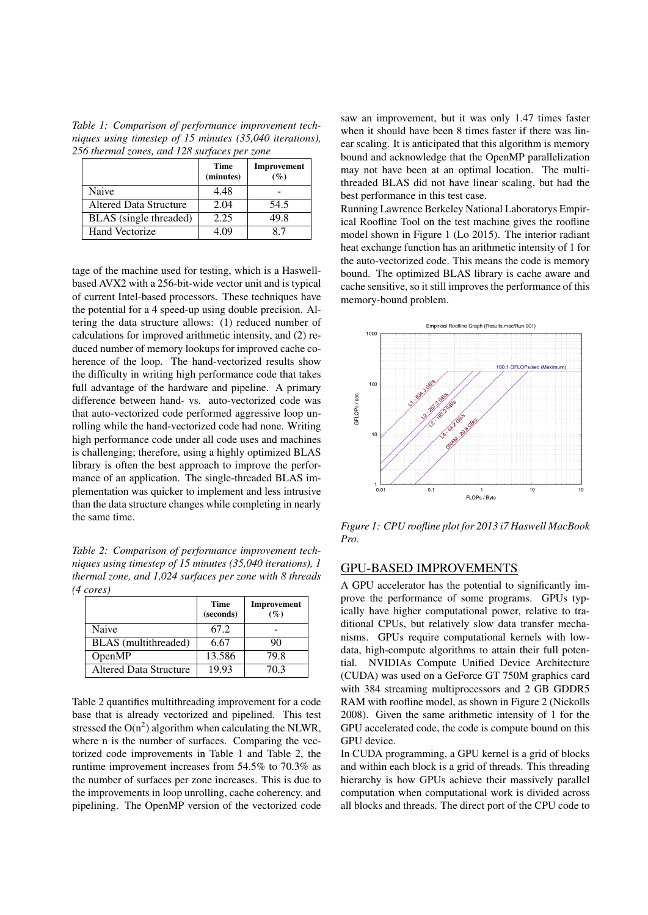*Table 1: Comparison of performance improvement techniques using timestep of 15 minutes (35,040 iterations), 256 thermal zones, and 128 surfaces per zone*

|                        | <b>Time</b><br>(minutes) | Improvement<br>$(\%)$ |
|------------------------|--------------------------|-----------------------|
| Naive                  | 4.48                     |                       |
| Altered Data Structure | 2.04                     | 54.5                  |
| BLAS (single threaded) | 2.25                     | 49.8                  |
| <b>Hand Vectorize</b>  | 4 (19                    | 87                    |

tage of the machine used for testing, which is a Haswellbased AVX2 with a 256-bit-wide vector unit and is typical of current Intel-based processors. These techniques have the potential for a 4 speed-up using double precision. Altering the data structure allows: (1) reduced number of calculations for improved arithmetic intensity, and (2) reduced number of memory lookups for improved cache coherence of the loop. The hand-vectorized results show the difficulty in writing high performance code that takes full advantage of the hardware and pipeline. A primary difference between hand- vs. auto-vectorized code was that auto-vectorized code performed aggressive loop unrolling while the hand-vectorized code had none. Writing high performance code under all code uses and machines is challenging; therefore, using a highly optimized BLAS library is often the best approach to improve the performance of an application. The single-threaded BLAS implementation was quicker to implement and less intrusive than the data structure changes while completing in nearly the same time.

*Table 2: Comparison of performance improvement techniques using timestep of 15 minutes (35,040 iterations), 1 thermal zone, and 1,024 surfaces per zone with 8 threads (4 cores)*

|                        | <b>Time</b><br>(seconds) | Improvement<br>$(\%)$ |
|------------------------|--------------------------|-----------------------|
| Naive                  | 67.2                     |                       |
| BLAS (multithreaded)   | 6.67                     | 90                    |
| OpenMP                 | 13.586                   | 79.8                  |
| Altered Data Structure | 19.93                    | 70.3                  |

Table 2 quantifies multithreading improvement for a code base that is already vectorized and pipelined. This test stressed the  $O(n^2)$  algorithm when calculating the NLWR, where n is the number of surfaces. Comparing the vectorized code improvements in Table 1 and Table 2, the runtime improvement increases from 54.5% to 70.3% as the number of surfaces per zone increases. This is due to the improvements in loop unrolling, cache coherency, and pipelining. The OpenMP version of the vectorized code saw an improvement, but it was only 1.47 times faster when it should have been 8 times faster if there was linear scaling. It is anticipated that this algorithm is memory bound and acknowledge that the OpenMP parallelization may not have been at an optimal location. The multithreaded BLAS did not have linear scaling, but had the best performance in this test case.

Running Lawrence Berkeley National Laboratorys Empirical Roofline Tool on the test machine gives the roofline model shown in Figure 1 (Lo 2015). The interior radiant heat exchange function has an arithmetic intensity of 1 for the auto-vectorized code. This means the code is memory bound. The optimized BLAS library is cache aware and cache sensitive, so it still improves the performance of this memory-bound problem.



*Figure 1: CPU roofline plot for 2013 i7 Haswell MacBook Pro.*

#### GPU-BASED IMPROVEMENTS

A GPU accelerator has the potential to significantly improve the performance of some programs. GPUs typically have higher computational power, relative to traditional CPUs, but relatively slow data transfer mechanisms. GPUs require computational kernels with lowdata, high-compute algorithms to attain their full potential. NVIDIAs Compute Unified Device Architecture (CUDA) was used on a GeForce GT 750M graphics card with 384 streaming multiprocessors and 2 GB GDDR5 RAM with roofline model, as shown in Figure 2 (Nickolls 2008). Given the same arithmetic intensity of 1 for the GPU accelerated code, the code is compute bound on this GPU device.

In CUDA programming, a GPU kernel is a grid of blocks and within each block is a grid of threads. This threading hierarchy is how GPUs achieve their massively parallel computation when computational work is divided across all blocks and threads. The direct port of the CPU code to